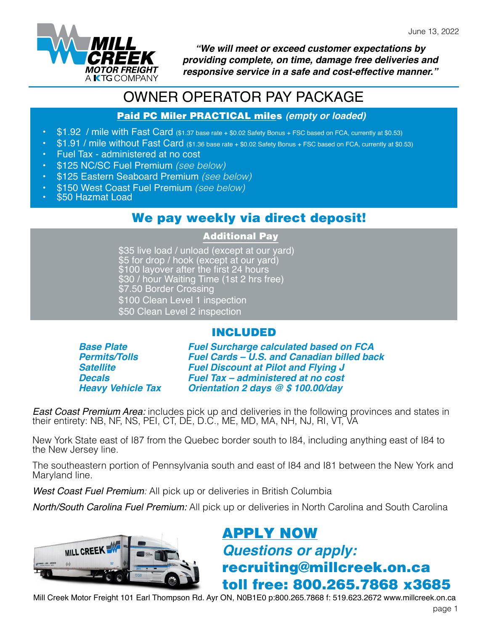

*"We will meet or exceed customer expectations by providing complete, on time, damage free deliveries and responsive service in a safe and cost-effective manner."*

# OWNER OPERATOR PAY PACKAGE

#### Paid PC Miler PRACTICAL miles *(empty or loaded)*

- \$1.92 / mile with Fast Card (\$1.37 base rate + \$0.02 Safety Bonus + FSC based on FCA, currently at \$0.53)
- \$1.91 / mile without Fast Card (\$1.36 base rate + \$0.02 Safety Bonus + FSC based on FCA, currently at \$0.53)
- Fuel Tax administered at no cost
- \$125 NC/SC Fuel Premium *(see below)*
- \$125 Eastern Seaboard Premium *(see below)*
- \$150 West Coast Fuel Premium *(see below)*
- \$50 Hazmat Load

### We pay weekly via direct deposit!

#### Additional Pay

\$35 live load / unload (except at our yard) \$5 for drop / hook (except at our yard) \$100 layover after the first 24 hours \$30 / hour Waiting Time (1st 2 hrs free) \$7.50 Border Crossing \$100 Clean Level 1 inspection \$50 Clean Level 2 inspection

### INCLUDED

*Base Plate Permits/Tolls Satellite Decals Heavy Vehicle Tax* *Fuel Surcharge calculated based on FCA Fuel Cards – U.S. and Canadian billed back Fuel Discount at Pilot and Flying J Fuel Tax – administered at no cost Orientation 2 days @ \$ 100.00/day*

*East Coast Premium Area:* includes pick up and deliveries in the following provinces and states in their entirety: NB, NF, NS, PEI, CT, DE, D.C., ME, MD, MA, NH, NJ, RI, VT, VA

New York State east of I87 from the Quebec border south to I84, including anything east of I84 to the New Jersey line.

The southeastern portion of Pennsylvania south and east of I84 and I81 between the New York and Maryland line.

*West Coast Fuel Premium:* All pick up or deliveries in British Columbia

*North/South Carolina Fuel Premium:* All pick up or deliveries in North Carolina and South Carolina



# [APPLY NOW](https://millcreek.truckright.ca/careers/position/detail/52) *Questions or apply:* recruiting@millcreek.on.ca toll free: 800.265.7868 x3685

Mill Creek Motor Freight 101 Earl Thompson Rd. Ayr ON, N0B1E0 p:800.265.7868 f: 519.623.2672 www.millcreek.on.ca